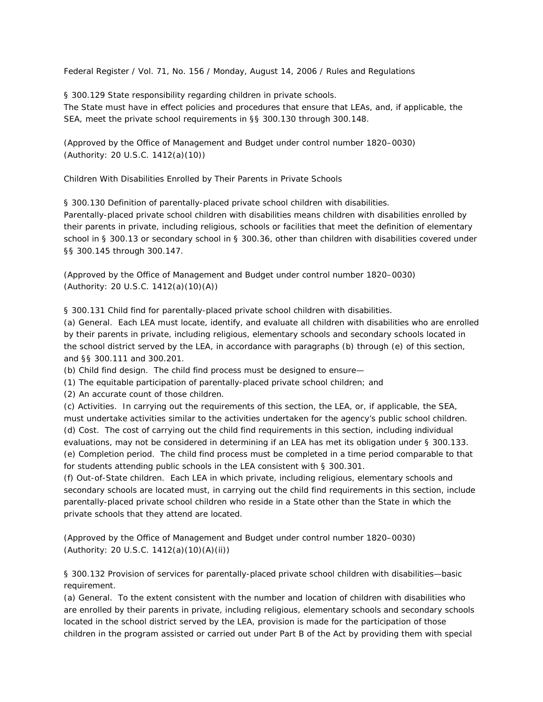Federal Register / Vol. 71, No. 156 / Monday, August 14, 2006 / Rules and Regulations

§ 300.129 State responsibility regarding children in private schools. The State must have in effect policies and procedures that ensure that LEAs, and, if applicable, the SEA, meet the private school requirements in §§ 300.130 through 300.148.

(Approved by the Office of Management and Budget under control number 1820–0030) (Authority: 20 U.S.C. 1412(a)(10))

Children With Disabilities Enrolled by Their Parents in Private Schools

§ 300.130 Definition of parentally-placed private school children with disabilities. Parentally-placed private school children with disabilities means children with disabilities enrolled by their parents in private, including religious, schools or facilities that meet the definition of elementary school in § 300.13 or secondary school in § 300.36, other than children with disabilities covered under §§ 300.145 through 300.147.

(Approved by the Office of Management and Budget under control number 1820–0030) (Authority: 20 U.S.C. 1412(a)(10)(A))

§ 300.131 Child find for parentally-placed private school children with disabilities.

(a) General. Each LEA must locate, identify, and evaluate all children with disabilities who are enrolled by their parents in private, including religious, elementary schools and secondary schools located in the school district served by the LEA, in accordance with paragraphs (b) through (e) of this section, and §§ 300.111 and 300.201.

(b) Child find design. The child find process must be designed to ensure—

(1) The equitable participation of parentally-placed private school children; and

(2) An accurate count of those children.

(c) Activities. In carrying out the requirements of this section, the LEA, or, if applicable, the SEA, must undertake activities similar to the activities undertaken for the agency's public school children. (d) Cost. The cost of carrying out the child find requirements in this section, including individual evaluations, may not be considered in determining if an LEA has met its obligation under § 300.133. (e) Completion period. The child find process must be completed in a time period comparable to that for students attending public schools in the LEA consistent with § 300.301.

(f) Out-of-State children. Each LEA in which private, including religious, elementary schools and secondary schools are located must, in carrying out the child find requirements in this section, include parentally-placed private school children who reside in a State other than the State in which the private schools that they attend are located.

(Approved by the Office of Management and Budget under control number 1820–0030) (Authority: 20 U.S.C. 1412(a)(10)(A)(ii))

§ 300.132 Provision of services for parentally-placed private school children with disabilities—basic requirement.

(a) General. To the extent consistent with the number and location of children with disabilities who are enrolled by their parents in private, including religious, elementary schools and secondary schools located in the school district served by the LEA, provision is made for the participation of those children in the program assisted or carried out under Part B of the Act by providing them with special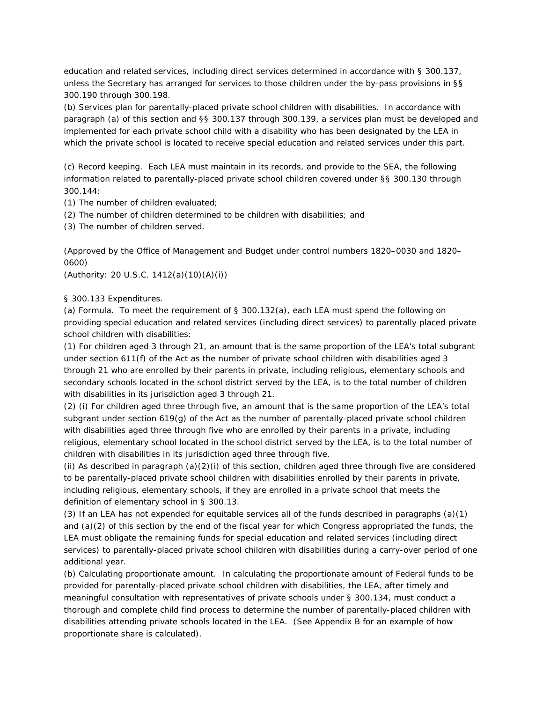education and related services, including direct services determined in accordance with § 300.137, unless the Secretary has arranged for services to those children under the by-pass provisions in §§ 300.190 through 300.198.

(b) Services plan for parentally-placed private school children with disabilities. In accordance with paragraph (a) of this section and §§ 300.137 through 300.139, a services plan must be developed and implemented for each private school child with a disability who has been designated by the LEA in which the private school is located to receive special education and related services under this part.

(c) Record keeping. Each LEA must maintain in its records, and provide to the SEA, the following information related to parentally-placed private school children covered under §§ 300.130 through 300.144:

(1) The number of children evaluated;

(2) The number of children determined to be children with disabilities; and

(3) The number of children served.

(Approved by the Office of Management and Budget under control numbers 1820–0030 and 1820– 0600)

(Authority: 20 U.S.C. 1412(a)(10)(A)(i))

## § 300.133 Expenditures.

(a) Formula. To meet the requirement of § 300.132(a), each LEA must spend the following on providing special education and related services (including direct services) to parentally placed private school children with disabilities:

(1) For children aged 3 through 21, an amount that is the same proportion of the LEA's total subgrant under section 611(f) of the Act as the number of private school children with disabilities aged 3 through 21 who are enrolled by their parents in private, including religious, elementary schools and secondary schools located in the school district served by the LEA, is to the total number of children with disabilities in its jurisdiction aged 3 through 21.

(2) (i) For children aged three through five, an amount that is the same proportion of the LEA's total subgrant under section 619(g) of the Act as the number of parentally-placed private school children with disabilities aged three through five who are enrolled by their parents in a private, including religious, elementary school located in the school district served by the LEA, is to the total number of children with disabilities in its jurisdiction aged three through five.

(ii) As described in paragraph (a)(2)(i) of this section, children aged three through five are considered to be parentally-placed private school children with disabilities enrolled by their parents in private, including religious, elementary schools, if they are enrolled in a private school that meets the definition of elementary school in § 300.13.

(3) If an LEA has not expended for equitable services all of the funds described in paragraphs (a)(1) and (a)(2) of this section by the end of the fiscal year for which Congress appropriated the funds, the LEA must obligate the remaining funds for special education and related services (including direct services) to parentally-placed private school children with disabilities during a carry-over period of one additional year.

(b) Calculating proportionate amount. In calculating the proportionate amount of Federal funds to be provided for parentally-placed private school children with disabilities, the LEA, after timely and meaningful consultation with representatives of private schools under § 300.134, must conduct a thorough and complete child find process to determine the number of parentally-placed children with disabilities attending private schools located in the LEA. (See Appendix B for an example of how proportionate share is calculated).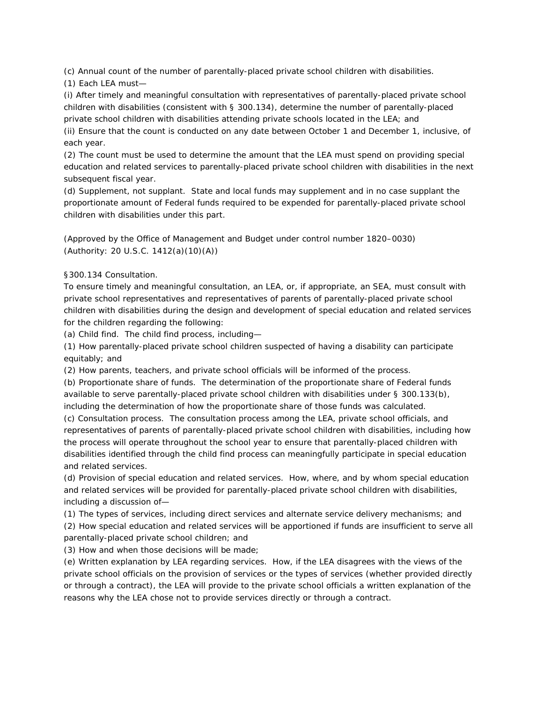(c) Annual count of the number of parentally-placed private school children with disabilities.

(1) Each LEA must—

(i) After timely and meaningful consultation with representatives of parentally-placed private school children with disabilities (consistent with § 300.134), determine the number of parentally-placed private school children with disabilities attending private schools located in the LEA; and (ii) Ensure that the count is conducted on any date between October 1 and December 1, inclusive, of each year.

(2) The count must be used to determine the amount that the LEA must spend on providing special education and related services to parentally-placed private school children with disabilities in the next subsequent fiscal year.

(d) Supplement, not supplant. State and local funds may supplement and in no case supplant the proportionate amount of Federal funds required to be expended for parentally-placed private school children with disabilities under this part.

(Approved by the Office of Management and Budget under control number 1820–0030) (Authority: 20 U.S.C. 1412(a)(10)(A))

## §300.134 Consultation.

To ensure timely and meaningful consultation, an LEA, or, if appropriate, an SEA, must consult with private school representatives and representatives of parents of parentally-placed private school children with disabilities during the design and development of special education and related services for the children regarding the following:

(a) Child find. The child find process, including—

(1) How parentally-placed private school children suspected of having a disability can participate equitably; and

(2) How parents, teachers, and private school officials will be informed of the process.

(b) Proportionate share of funds. The determination of the proportionate share of Federal funds available to serve parentally-placed private school children with disabilities under § 300.133(b), including the determination of how the proportionate share of those funds was calculated.

(c) Consultation process. The consultation process among the LEA, private school officials, and representatives of parents of parentally-placed private school children with disabilities, including how the process will operate throughout the school year to ensure that parentally-placed children with disabilities identified through the child find process can meaningfully participate in special education and related services.

(d) Provision of special education and related services. How, where, and by whom special education and related services will be provided for parentally-placed private school children with disabilities, including a discussion of—

(1) The types of services, including direct services and alternate service delivery mechanisms; and (2) How special education and related services will be apportioned if funds are insufficient to serve all parentally-placed private school children; and

(3) How and when those decisions will be made;

(e) Written explanation by LEA regarding services. How, if the LEA disagrees with the views of the private school officials on the provision of services or the types of services (whether provided directly or through a contract), the LEA will provide to the private school officials a written explanation of the reasons why the LEA chose not to provide services directly or through a contract.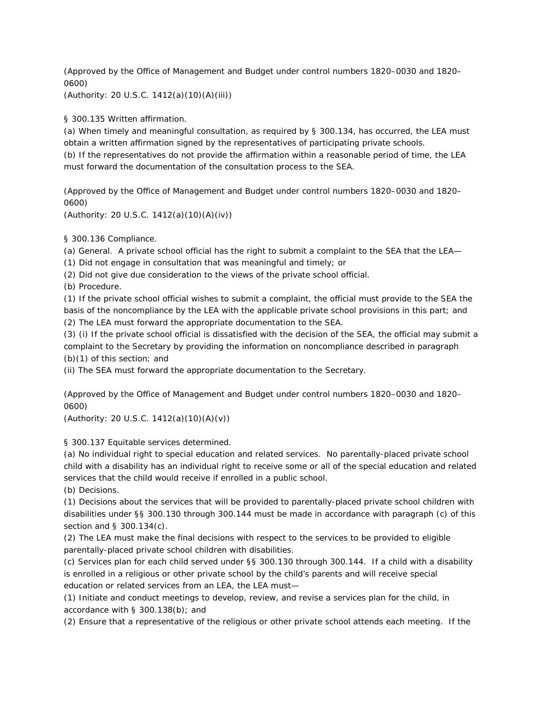(Approved by the Office of Management and Budget under control numbers 1820–0030 and 1820– 0600)

(Authority: 20 U.S.C. 1412(a)(10)(A)(iii))

§ 300.135 Written affirmation.

(a) When timely and meaningful consultation, as required by § 300.134, has occurred, the LEA must obtain a written affirmation signed by the representatives of participating private schools.

(b) If the representatives do not provide the affirmation within a reasonable period of time, the LEA must forward the documentation of the consultation process to the SEA.

(Approved by the Office of Management and Budget under control numbers 1820–0030 and 1820– 0600)

(Authority: 20 U.S.C. 1412(a)(10)(A)(iv))

§ 300.136 Compliance.

(a) General. A private school official has the right to submit a complaint to the SEA that the LEA—

(1) Did not engage in consultation that was meaningful and timely; or

(2) Did not give due consideration to the views of the private school official.

(b) Procedure.

(1) If the private school official wishes to submit a complaint, the official must provide to the SEA the basis of the noncompliance by the LEA with the applicable private school provisions in this part; and (2) The LEA must forward the appropriate documentation to the SEA.

(3) (i) If the private school official is dissatisfied with the decision of the SEA, the official may submit a complaint to the Secretary by providing the information on noncompliance described in paragraph (b)(1) of this section; and

(ii) The SEA must forward the appropriate documentation to the Secretary.

(Approved by the Office of Management and Budget under control numbers 1820–0030 and 1820– 0600)

(Authority: 20 U.S.C. 1412(a)(10)(A)(v))

§ 300.137 Equitable services determined.

(a) No individual right to special education and related services. No parentally-placed private school child with a disability has an individual right to receive some or all of the special education and related services that the child would receive if enrolled in a public school.

(b) Decisions.

(1) Decisions about the services that will be provided to parentally-placed private school children with disabilities under §§ 300.130 through 300.144 must be made in accordance with paragraph (c) of this section and § 300.134(c).

(2) The LEA must make the final decisions with respect to the services to be provided to eligible parentally-placed private school children with disabilities.

(c) Services plan for each child served under §§ 300.130 through 300.144. If a child with a disability is enrolled in a religious or other private school by the child's parents and will receive special education or related services from an LEA, the LEA must—

(1) Initiate and conduct meetings to develop, review, and revise a services plan for the child, in accordance with § 300.138(b); and

(2) Ensure that a representative of the religious or other private school attends each meeting. If the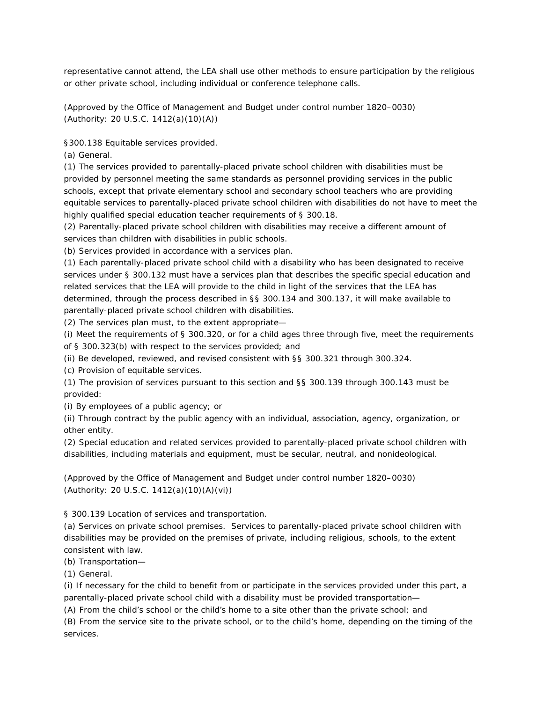representative cannot attend, the LEA shall use other methods to ensure participation by the religious or other private school, including individual or conference telephone calls.

(Approved by the Office of Management and Budget under control number 1820–0030) (Authority: 20 U.S.C. 1412(a)(10)(A))

§300.138 Equitable services provided.

(a) General.

(1) The services provided to parentally-placed private school children with disabilities must be provided by personnel meeting the same standards as personnel providing services in the public schools, except that private elementary school and secondary school teachers who are providing equitable services to parentally-placed private school children with disabilities do not have to meet the highly qualified special education teacher requirements of § 300.18.

(2) Parentally-placed private school children with disabilities may receive a different amount of services than children with disabilities in public schools.

(b) Services provided in accordance with a services plan.

(1) Each parentally-placed private school child with a disability who has been designated to receive services under § 300.132 must have a services plan that describes the specific special education and related services that the LEA will provide to the child in light of the services that the LEA has determined, through the process described in §§ 300.134 and 300.137, it will make available to parentally-placed private school children with disabilities.

(2) The services plan must, to the extent appropriate—

(i) Meet the requirements of § 300.320, or for a child ages three through five, meet the requirements of § 300.323(b) with respect to the services provided; and

(ii) Be developed, reviewed, and revised consistent with §§ 300.321 through 300.324.

(c) Provision of equitable services.

(1) The provision of services pursuant to this section and §§ 300.139 through 300.143 must be provided:

(i) By employees of a public agency; or

(ii) Through contract by the public agency with an individual, association, agency, organization, or other entity.

(2) Special education and related services provided to parentally-placed private school children with disabilities, including materials and equipment, must be secular, neutral, and nonideological.

(Approved by the Office of Management and Budget under control number 1820–0030) (Authority: 20 U.S.C. 1412(a)(10)(A)(vi))

§ 300.139 Location of services and transportation.

(a) Services on private school premises. Services to parentally-placed private school children with disabilities may be provided on the premises of private, including religious, schools, to the extent consistent with law.

(b) Transportation—

(1) General.

(i) If necessary for the child to benefit from or participate in the services provided under this part, a parentally-placed private school child with a disability must be provided transportation—

(A) From the child's school or the child's home to a site other than the private school; and

(B) From the service site to the private school, or to the child's home, depending on the timing of the services.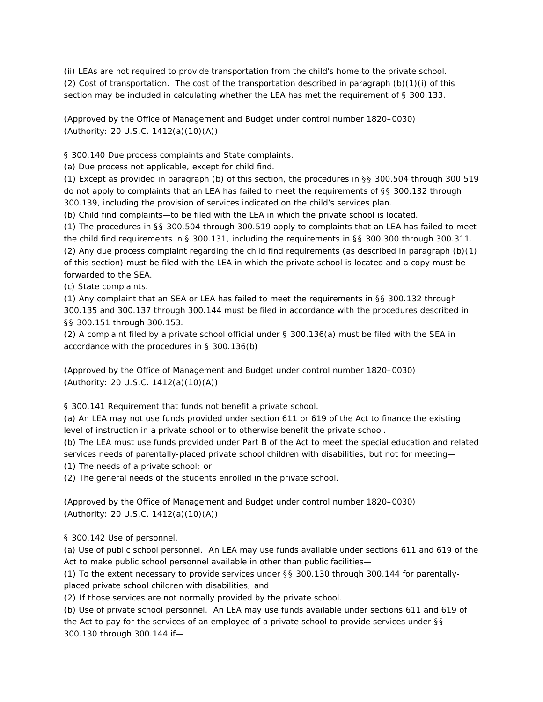(ii) LEAs are not required to provide transportation from the child's home to the private school. (2) Cost of transportation. The cost of the transportation described in paragraph (b)(1)(i) of this section may be included in calculating whether the LEA has met the requirement of § 300.133.

(Approved by the Office of Management and Budget under control number 1820–0030) (Authority: 20 U.S.C. 1412(a)(10)(A))

§ 300.140 Due process complaints and State complaints.

(a) Due process not applicable, except for child find.

(1) Except as provided in paragraph (b) of this section, the procedures in §§ 300.504 through 300.519 do not apply to complaints that an LEA has failed to meet the requirements of §§ 300.132 through 300.139, including the provision of services indicated on the child's services plan.

(b) Child find complaints—to be filed with the LEA in which the private school is located.

(1) The procedures in §§ 300.504 through 300.519 apply to complaints that an LEA has failed to meet the child find requirements in § 300.131, including the requirements in §§ 300.300 through 300.311. (2) Any due process complaint regarding the child find requirements (as described in paragraph (b)(1) of this section) must be filed with the LEA in which the private school is located and a copy must be forwarded to the SEA.

(c) State complaints.

(1) Any complaint that an SEA or LEA has failed to meet the requirements in §§ 300.132 through 300.135 and 300.137 through 300.144 must be filed in accordance with the procedures described in §§ 300.151 through 300.153.

(2) A complaint filed by a private school official under § 300.136(a) must be filed with the SEA in accordance with the procedures in § 300.136(b)

(Approved by the Office of Management and Budget under control number 1820–0030) (Authority: 20 U.S.C. 1412(a)(10)(A))

§ 300.141 Requirement that funds not benefit a private school.

(a) An LEA may not use funds provided under section 611 or 619 of the Act to finance the existing level of instruction in a private school or to otherwise benefit the private school.

(b) The LEA must use funds provided under Part B of the Act to meet the special education and related services needs of parentally-placed private school children with disabilities, but not for meeting-

(1) The needs of a private school; or

(2) The general needs of the students enrolled in the private school.

(Approved by the Office of Management and Budget under control number 1820–0030) (Authority: 20 U.S.C. 1412(a)(10)(A))

§ 300.142 Use of personnel.

(a) Use of public school personnel. An LEA may use funds available under sections 611 and 619 of the Act to make public school personnel available in other than public facilities—

(1) To the extent necessary to provide services under §§ 300.130 through 300.144 for parentallyplaced private school children with disabilities; and

(2) If those services are not normally provided by the private school.

(b) Use of private school personnel. An LEA may use funds available under sections 611 and 619 of the Act to pay for the services of an employee of a private school to provide services under §§ 300.130 through 300.144 if—